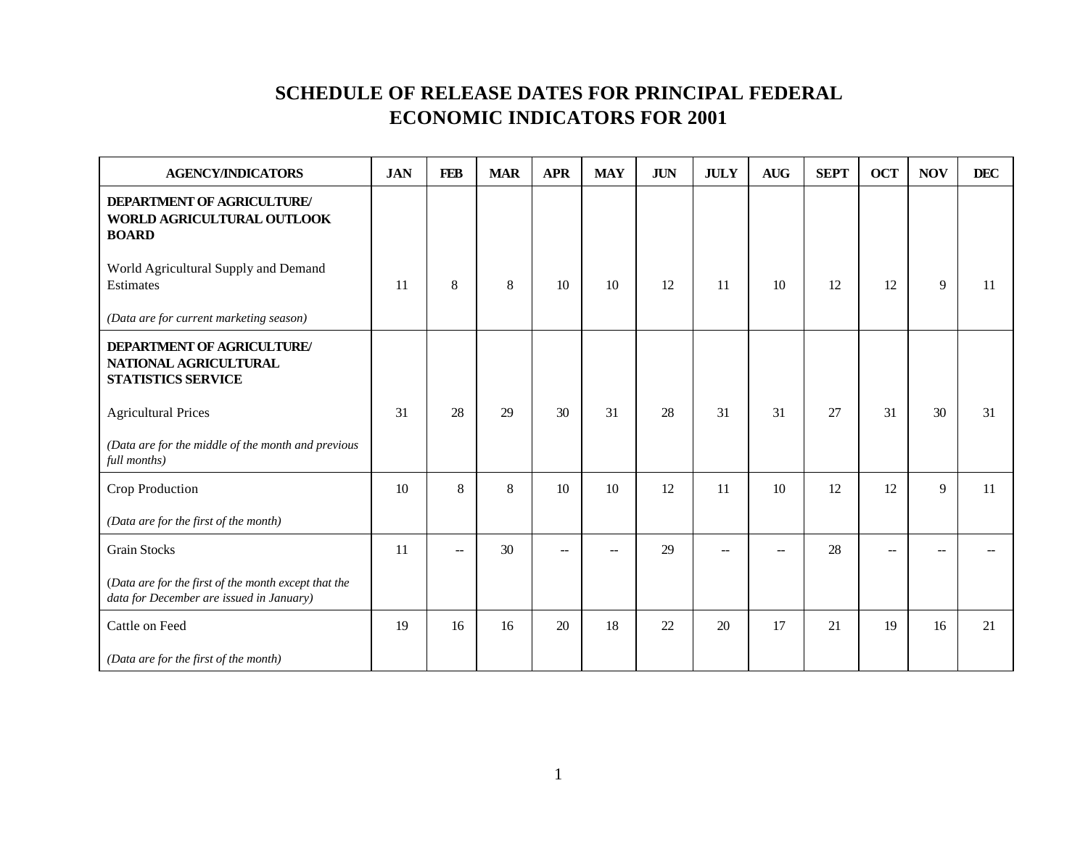| <b>AGENCY/INDICATORS</b>                                                                         | <b>JAN</b> | <b>FEB</b>               | <b>MAR</b> | <b>APR</b> | <b>MAY</b> | $\mathbf{J}\mathbf{U}\mathbf{N}$ | <b>JULY</b> | <b>AUG</b> | <b>SEPT</b> | <b>OCT</b> | <b>NOV</b>  | <b>DEC</b> |
|--------------------------------------------------------------------------------------------------|------------|--------------------------|------------|------------|------------|----------------------------------|-------------|------------|-------------|------------|-------------|------------|
| <b>DEPARTMENT OF AGRICULTURE/</b><br>WORLD AGRICULTURAL OUTLOOK<br><b>BOARD</b>                  |            |                          |            |            |            |                                  |             |            |             |            |             |            |
| World Agricultural Supply and Demand<br>Estimates                                                | 11         | 8                        | 8          | 10         | 10         | 12                               | 11          | 10         | 12          | 12         | $\mathbf Q$ | 11         |
| (Data are for current marketing season)                                                          |            |                          |            |            |            |                                  |             |            |             |            |             |            |
| <b>DEPARTMENT OF AGRICULTURE/</b><br>NATIONAL AGRICULTURAL<br><b>STATISTICS SERVICE</b>          |            |                          |            |            |            |                                  |             |            |             |            |             |            |
| <b>Agricultural Prices</b>                                                                       | 31         | 28                       | 29         | 30         | 31         | 28                               | 31          | 31         | 27          | 31         | 30          | 31         |
| (Data are for the middle of the month and previous<br>full months)                               |            |                          |            |            |            |                                  |             |            |             |            |             |            |
| Crop Production                                                                                  | 10         | 8                        | 8          | 10         | 10         | 12                               | 11          | 10         | 12          | 12         | 9           | 11         |
| (Data are for the first of the month)                                                            |            |                          |            |            |            |                                  |             |            |             |            |             |            |
| <b>Grain Stocks</b>                                                                              | 11         | $\overline{\phantom{a}}$ | 30         | --         | --         | 29                               | $\sim$      | $-$        | 28          | --         |             |            |
| (Data are for the first of the month except that the<br>data for December are issued in January) |            |                          |            |            |            |                                  |             |            |             |            |             |            |
| Cattle on Feed                                                                                   | 19         | 16                       | 16         | 20         | 18         | 22                               | 20          | 17         | 21          | 19         | 16          | 21         |
| (Data are for the first of the month)                                                            |            |                          |            |            |            |                                  |             |            |             |            |             |            |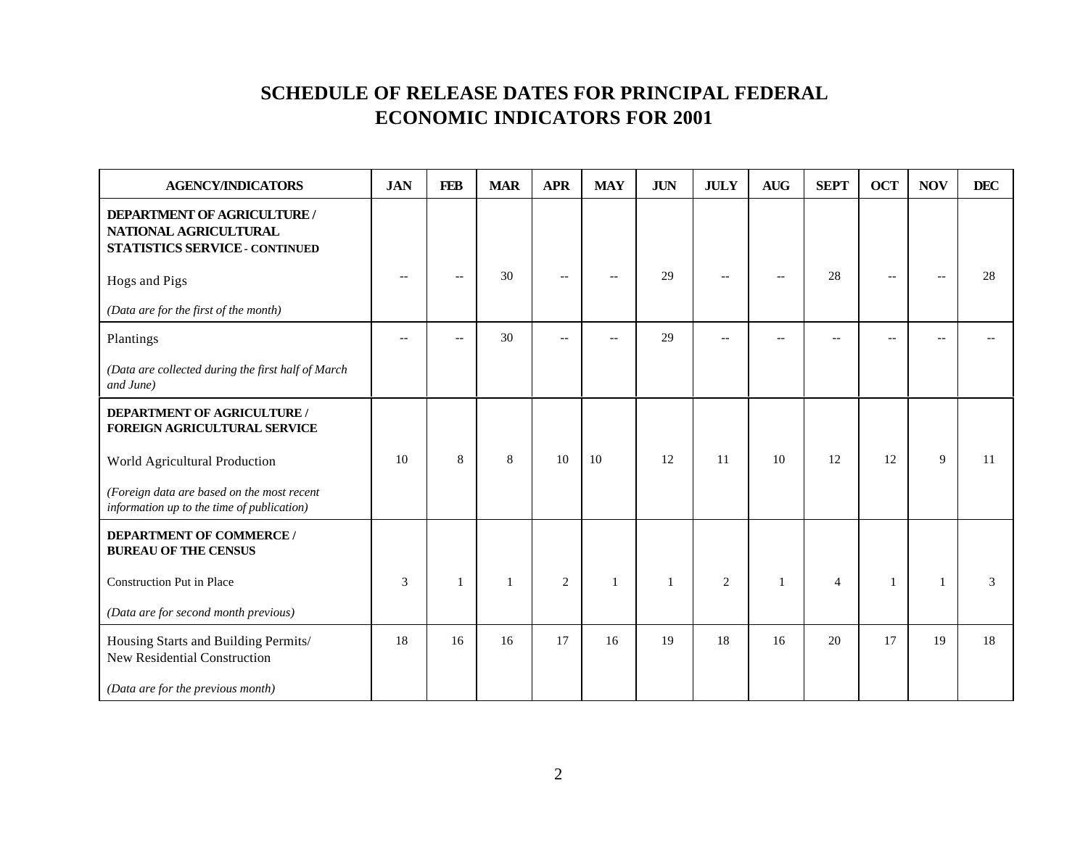| <b>AGENCY/INDICATORS</b>                                                                             | <b>JAN</b> | <b>FEB</b>               | <b>MAR</b> | <b>APR</b>     | <b>MAY</b> | <b>JUN</b>   | <b>JULY</b> | <b>AUG</b>     | <b>SEPT</b>    | <b>OCT</b>     | <b>NOV</b>  | <b>DEC</b> |
|------------------------------------------------------------------------------------------------------|------------|--------------------------|------------|----------------|------------|--------------|-------------|----------------|----------------|----------------|-------------|------------|
| <b>DEPARTMENT OF AGRICULTURE /</b><br>NATIONAL AGRICULTURAL<br><b>STATISTICS SERVICE - CONTINUED</b> |            |                          |            |                |            |              |             |                |                |                |             |            |
| Hogs and Pigs                                                                                        |            | $\overline{\phantom{m}}$ | 30         | $-$            | $-$        | 29           |             | $\overline{a}$ | 28             | $\overline{a}$ |             | 28         |
| (Data are for the first of the month)                                                                |            |                          |            |                |            |              |             |                |                |                |             |            |
| Plantings                                                                                            |            | $-$                      | 30         | $-$            | --         | 29           |             | $-$            |                |                |             |            |
| (Data are collected during the first half of March<br>and June)                                      |            |                          |            |                |            |              |             |                |                |                |             |            |
| DEPARTMENT OF AGRICULTURE /<br>FOREIGN AGRICULTURAL SERVICE                                          |            |                          |            |                |            |              |             |                |                |                |             |            |
| World Agricultural Production                                                                        | 10         | 8                        | 8          | 10             | 10         | 12           | 11          | 10             | 12             | 12             | $\mathbf Q$ | 11         |
| (Foreign data are based on the most recent<br>information up to the time of publication)             |            |                          |            |                |            |              |             |                |                |                |             |            |
| <b>DEPARTMENT OF COMMERCE /</b><br><b>BUREAU OF THE CENSUS</b>                                       |            |                          |            |                |            |              |             |                |                |                |             |            |
| Construction Put in Place                                                                            | 3          | $\mathbf{1}$             | 1          | $\overline{2}$ | 1          | $\mathbf{1}$ | 2           | $\mathbf{1}$   | $\overline{4}$ | -1             |             | 3          |
| (Data are for second month previous)                                                                 |            |                          |            |                |            |              |             |                |                |                |             |            |
| Housing Starts and Building Permits/<br>New Residential Construction                                 | 18         | 16                       | 16         | 17             | 16         | 19           | 18          | 16             | 20             | 17             | 19          | 18         |
| (Data are for the previous month)                                                                    |            |                          |            |                |            |              |             |                |                |                |             |            |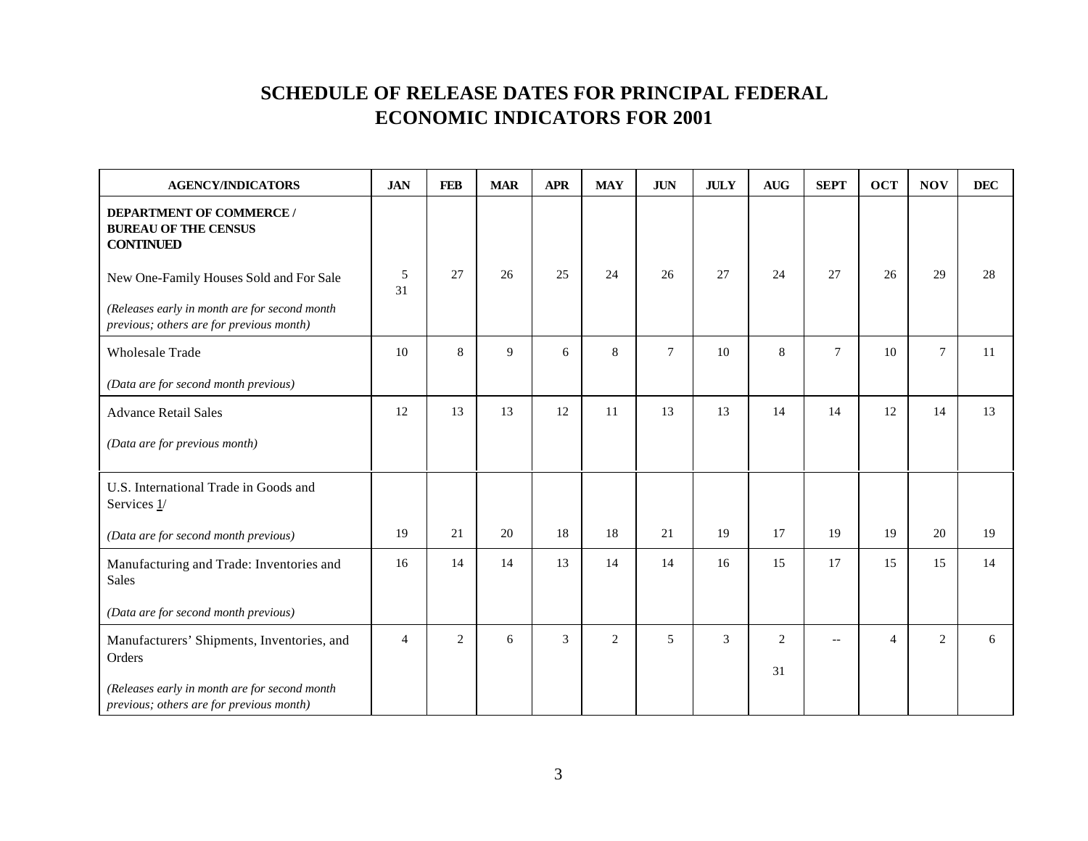| <b>AGENCY/INDICATORS</b>                                                                  | <b>JAN</b> | <b>FEB</b>     | <b>MAR</b> | <b>APR</b>     | <b>MAY</b> | $\mathbf{J}\mathbf{U}\mathbf{N}$ | <b>JULY</b> | $\mathbf{A}\mathbf{U}\mathbf{G}$ | <b>SEPT</b>              | <b>OCT</b>     | <b>NOV</b>     | DEC |
|-------------------------------------------------------------------------------------------|------------|----------------|------------|----------------|------------|----------------------------------|-------------|----------------------------------|--------------------------|----------------|----------------|-----|
| <b>DEPARTMENT OF COMMERCE /</b><br><b>BUREAU OF THE CENSUS</b><br><b>CONTINUED</b>        |            |                |            |                |            |                                  |             |                                  |                          |                |                |     |
| New One-Family Houses Sold and For Sale                                                   | 5<br>31    | 27             | 26         | 25             | 24         | 26                               | 27          | 24                               | 27                       | 26             | 29             | 28  |
| (Releases early in month are for second month<br>previous; others are for previous month) |            |                |            |                |            |                                  |             |                                  |                          |                |                |     |
| <b>Wholesale Trade</b>                                                                    | 10         | 8              | 9          | 6              | $\,8\,$    | $7\phantom{.0}$                  | 10          | 8                                | $\tau$                   | 10             | $\tau$         | 11  |
| (Data are for second month previous)                                                      |            |                |            |                |            |                                  |             |                                  |                          |                |                |     |
| <b>Advance Retail Sales</b>                                                               | 12         | 13             | 13         | 12             | 11         | 13                               | 13          | 14                               | 14                       | 12             | 14             | 13  |
| (Data are for previous month)                                                             |            |                |            |                |            |                                  |             |                                  |                          |                |                |     |
| U.S. International Trade in Goods and<br>Services 1/                                      |            |                |            |                |            |                                  |             |                                  |                          |                |                |     |
| (Data are for second month previous)                                                      | 19         | 21             | 20         | 18             | 18         | 21                               | 19          | 17                               | 19                       | 19             | 20             | 19  |
| Manufacturing and Trade: Inventories and<br><b>Sales</b>                                  | 16         | 14             | 14         | 13             | 14         | 14                               | 16          | 15                               | 17                       | 15             | 15             | 14  |
| (Data are for second month previous)                                                      |            |                |            |                |            |                                  |             |                                  |                          |                |                |     |
| Manufacturers' Shipments, Inventories, and<br>Orders                                      | 4          | $\overline{2}$ | 6          | $\overline{3}$ | 2          | $\overline{5}$                   | 3           | $\overline{2}$                   | $\overline{\phantom{m}}$ | $\overline{4}$ | $\mathfrak{D}$ | б.  |
| (Releases early in month are for second month<br>previous; others are for previous month) |            |                |            |                |            |                                  |             | 31                               |                          |                |                |     |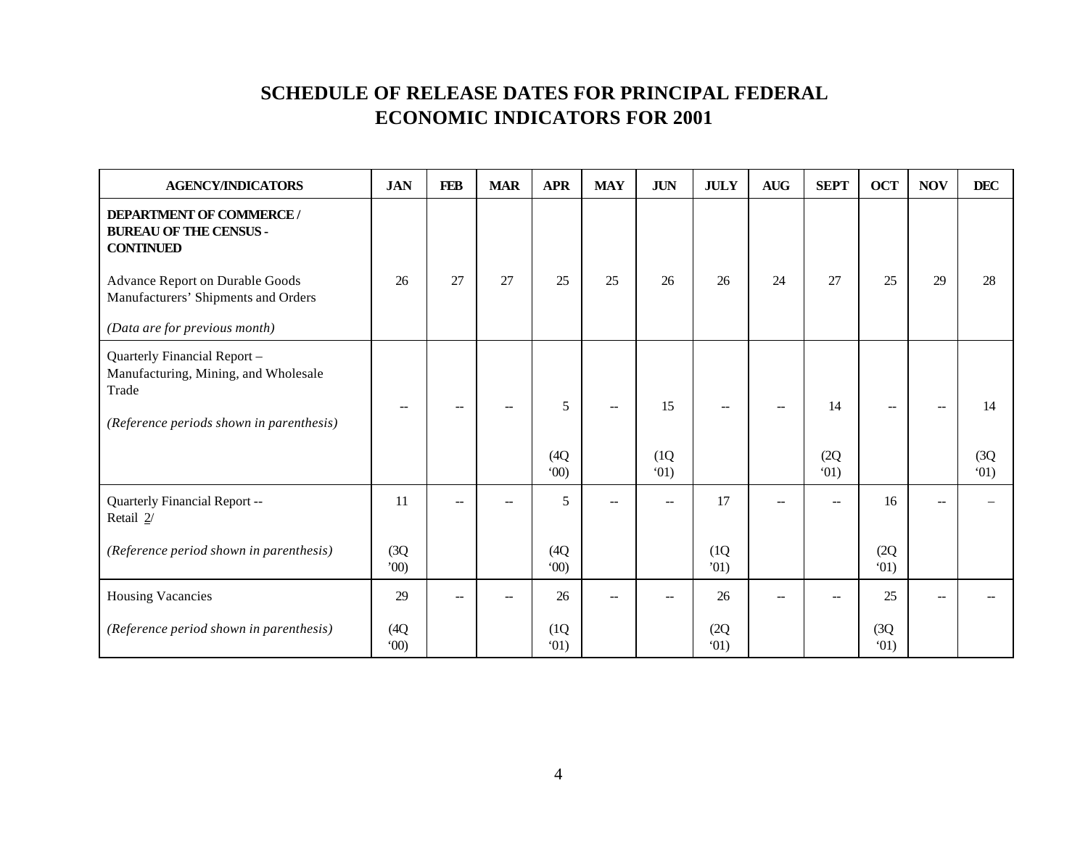| <b>AGENCY/INDICATORS</b>                                                                                                  | <b>JAN</b>   | <b>FEB</b> | <b>MAR</b> | <b>APR</b>        | <b>MAY</b>     | <b>JUN</b>        | <b>JULY</b>  | $\mbox{\bf A} \mbox{\bf U} \mbox{\bf G}$ | <b>SEPT</b>              | <b>OCT</b>   | <b>NOV</b> | <b>DEC</b>         |
|---------------------------------------------------------------------------------------------------------------------------|--------------|------------|------------|-------------------|----------------|-------------------|--------------|------------------------------------------|--------------------------|--------------|------------|--------------------|
| <b>DEPARTMENT OF COMMERCE/</b><br><b>BUREAU OF THE CENSUS -</b><br><b>CONTINUED</b>                                       |              |            |            |                   |                |                   |              |                                          |                          |              |            |                    |
| Advance Report on Durable Goods<br>Manufacturers' Shipments and Orders                                                    | 26           | 27         | 27         | 25                | 25             | 26                | 26           | 24                                       | 27                       | 25           | 29         | 28                 |
| (Data are for previous month)                                                                                             |              |            |            |                   |                |                   |              |                                          |                          |              |            |                    |
| Quarterly Financial Report -<br>Manufacturing, Mining, and Wholesale<br>Trade<br>(Reference periods shown in parenthesis) |              |            | $\sim$     | 5<br>(4Q)<br>(00) | $\overline{a}$ | 15<br>(1Q)<br>01) |              |                                          | 14<br>(2Q)<br>(01)       |              |            | 14<br>(3Q)<br>(01) |
| Quarterly Financial Report --<br>Retail 2/                                                                                | 11           |            | --         | 5                 | $-$            | $\overline{a}$    | 17           |                                          | $\overline{a}$           | 16           |            |                    |
| (Reference period shown in parenthesis)                                                                                   | (3Q)<br>00   |            |            | (4Q)<br>(00)      |                |                   | (1Q)<br>'01) |                                          |                          | (2Q)<br>01)  |            |                    |
| <b>Housing Vacancies</b>                                                                                                  | 29           |            |            | 26                | --             |                   | 26           |                                          | $\overline{\phantom{a}}$ | 25           |            |                    |
| (Reference period shown in parenthesis)                                                                                   | (4Q)<br>(00) |            |            | (1Q)<br>(01)      |                |                   | (2Q)<br>01)  |                                          |                          | (3Q)<br>(01) |            |                    |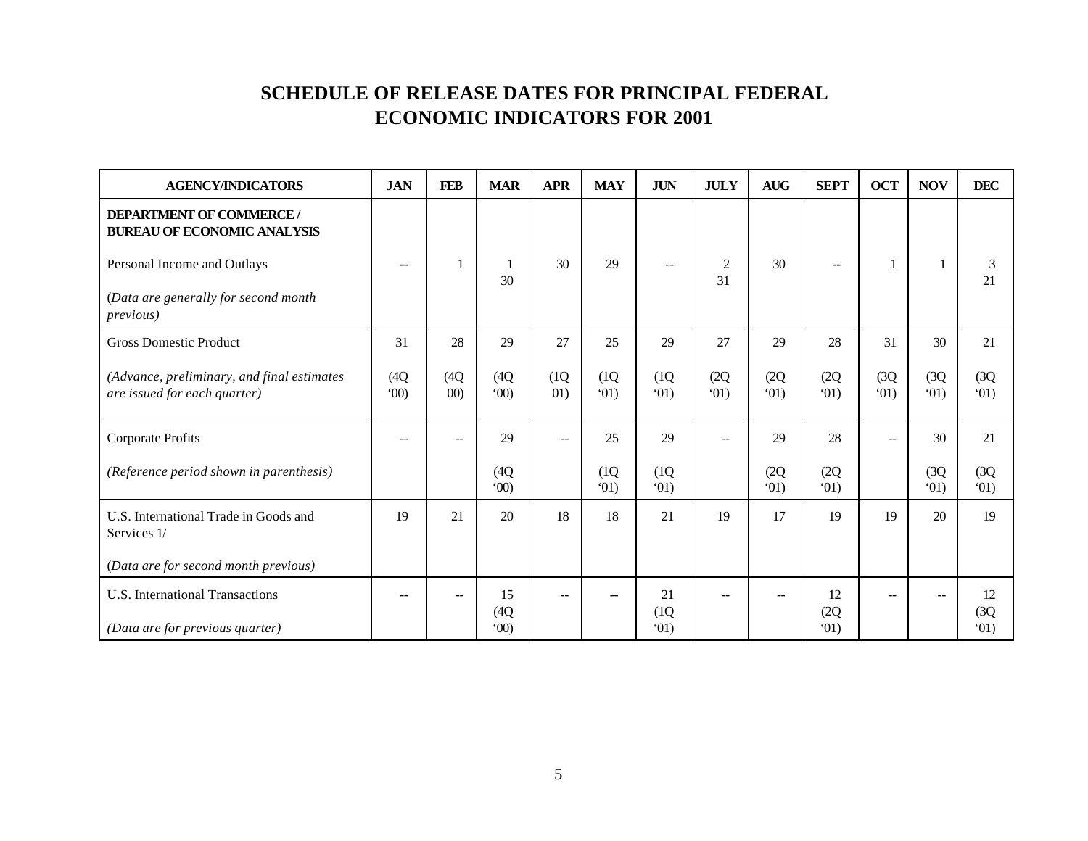| <b>AGENCY/INDICATORS</b>                                                   | <b>JAN</b>               | <b>FEB</b>   | <b>MAR</b>         | <b>APR</b>  | <b>MAY</b>   | <b>JUN</b>               | <b>JULY</b>  | $\mathbf{A}\mathbf{U}\mathbf{G}$ | <b>SEPT</b>              | <b>OCT</b>   | <b>NOV</b>   | <b>DEC</b>         |
|----------------------------------------------------------------------------|--------------------------|--------------|--------------------|-------------|--------------|--------------------------|--------------|----------------------------------|--------------------------|--------------|--------------|--------------------|
| <b>DEPARTMENT OF COMMERCE/</b><br><b>BUREAU OF ECONOMIC ANALYSIS</b>       |                          |              |                    |             |              |                          |              |                                  |                          |              |              |                    |
| Personal Income and Outlays                                                | $\overline{\phantom{a}}$ |              | 30                 | 30          | 29           | $\overline{\phantom{a}}$ | 2<br>31      | 30                               | $\overline{\phantom{a}}$ |              |              | 3<br>21            |
| (Data are generally for second month<br><i>previous</i> )                  |                          |              |                    |             |              |                          |              |                                  |                          |              |              |                    |
| <b>Gross Domestic Product</b>                                              | 31                       | 28           | 29                 | 27          | 25           | 29                       | 27           | 29                               | 28                       | 31           | 30           | 21                 |
| (Advance, preliminary, and final estimates<br>are issued for each quarter) | (4Q)<br>(00)             | (4Q)<br>(00) | (4Q)<br>(00)       | (1Q)<br>01) | (1Q)<br>(01) | (1Q)<br>(01)             | (2Q)<br>(01) | (2Q)<br>(01)                     | (2Q)<br>(01)             | (3Q)<br>(01) | (3Q)<br>(01) | (3Q)<br>(01)       |
| Corporate Profits                                                          |                          |              | 29                 | --          | 25           | 29                       |              | 29                               | 28                       | --           | 30           | 21                 |
| (Reference period shown in parenthesis)                                    |                          |              | (4Q)<br>(00)       |             | (1Q)<br>(01) | (1Q)<br>01)              |              | (2Q)<br>(01)                     | (2Q)<br>(01)             |              | (3Q)<br>(01) | (3Q)<br>(01)       |
| U.S. International Trade in Goods and<br>Services $1/$                     | 19                       | 21           | 20                 | 18          | 18           | 21                       | 19           | 17                               | 19                       | 19           | 20           | 19                 |
| (Data are for second month previous)                                       |                          |              |                    |             |              |                          |              |                                  |                          |              |              |                    |
| <b>U.S.</b> International Transactions<br>(Data are for previous quarter)  |                          |              | 15<br>(4Q)<br>(00) | $-$         |              | 21<br>(1Q)<br>(01)       |              |                                  | 12<br>(2Q)<br>(01)       |              |              | 12<br>(3Q)<br>(01) |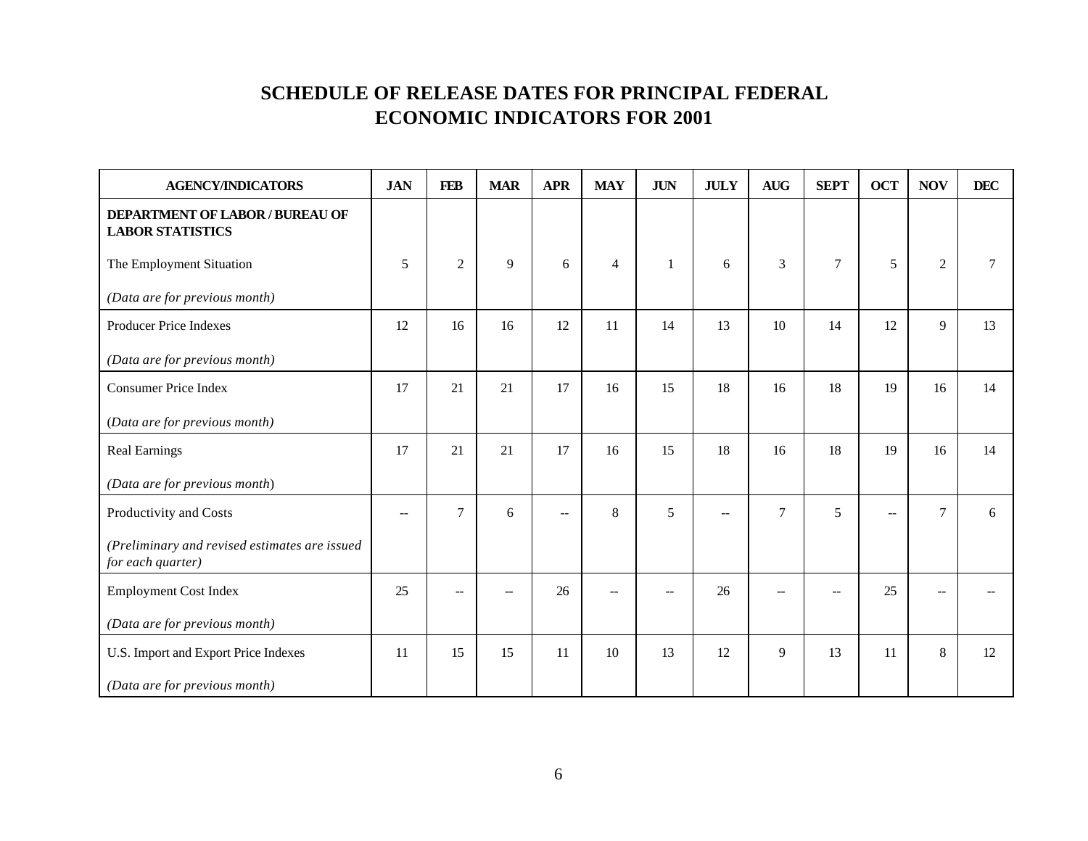| <b>AGENCY/INDICATORS</b>                                           | <b>JAN</b> | <b>FEB</b>     | <b>MAR</b> | <b>APR</b>               | <b>MAY</b>     | $\mathbf{J}\mathbf{U}\mathbf{N}$ | <b>JULY</b>    | $\mathbf{A}\mathbf{U}\mathbf{G}$ | <b>SEPT</b>    | <b>OCT</b> | <b>NOV</b> | <b>DEC</b> |
|--------------------------------------------------------------------|------------|----------------|------------|--------------------------|----------------|----------------------------------|----------------|----------------------------------|----------------|------------|------------|------------|
| <b>DEPARTMENT OF LABOR / BUREAU OF</b><br><b>LABOR STATISTICS</b>  |            |                |            |                          |                |                                  |                |                                  |                |            |            |            |
| The Employment Situation                                           | 5          | 2              | 9          | 6                        | $\overline{4}$ | 1                                | 6              | 3                                | $\overline{7}$ | 5          | 2          |            |
| (Data are for previous month)                                      |            |                |            |                          |                |                                  |                |                                  |                |            |            |            |
| Producer Price Indexes                                             | 12         | 16             | 16         | 12                       | 11             | 14                               | 13             | 10                               | 14             | 12         | 9          | 13         |
| (Data are for previous month)                                      |            |                |            |                          |                |                                  |                |                                  |                |            |            |            |
| <b>Consumer Price Index</b>                                        | 17         | 21             | 21         | 17                       | 16             | 15                               | 18             | 16                               | 18             | 19         | 16         | 14         |
| (Data are for previous month)                                      |            |                |            |                          |                |                                  |                |                                  |                |            |            |            |
| <b>Real Earnings</b>                                               | 17         | 21             | 21         | 17                       | 16             | 15                               | 18             | 16                               | 18             | 19         | 16         | 14         |
| (Data are for previous month)                                      |            |                |            |                          |                |                                  |                |                                  |                |            |            |            |
| Productivity and Costs                                             | $- -$      | $\overline{7}$ | 6          | $\overline{\phantom{a}}$ | 8              | 5                                | $\overline{a}$ | $\overline{7}$                   | 5              |            | $\tau$     | 6          |
| (Preliminary and revised estimates are issued<br>for each quarter) |            |                |            |                          |                |                                  |                |                                  |                |            |            |            |
| <b>Employment Cost Index</b>                                       | 25         |                |            | 26                       | --             |                                  | 26             |                                  |                | 25         |            |            |
| (Data are for previous month)                                      |            |                |            |                          |                |                                  |                |                                  |                |            |            |            |
| U.S. Import and Export Price Indexes                               | 11         | 15             | 15         | 11                       | 10             | 13                               | 12             | 9                                | 13             | 11         | 8          | 12         |
| (Data are for previous month)                                      |            |                |            |                          |                |                                  |                |                                  |                |            |            |            |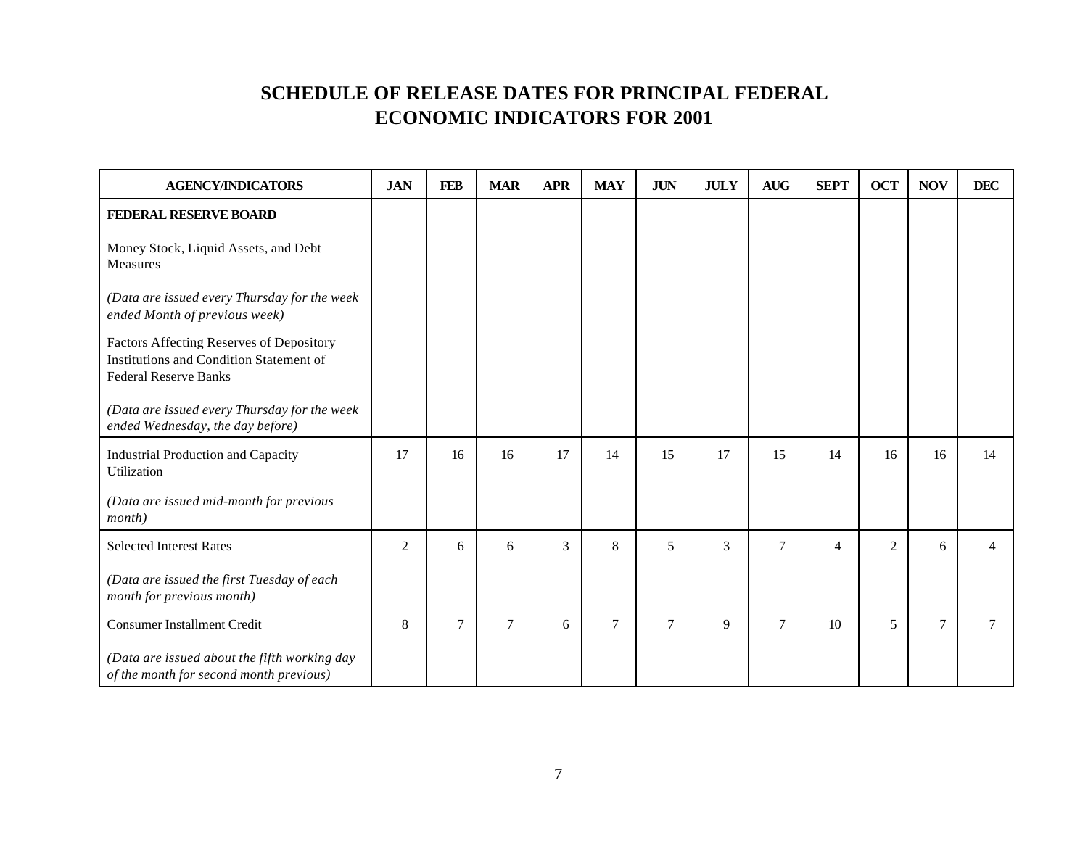| <b>AGENCY/INDICATORS</b>                                                                                            | <b>JAN</b> | <b>FEB</b> | <b>MAR</b>     | <b>APR</b> | <b>MAY</b> | <b>JUN</b> | <b>JULY</b> | $\mbox{{\bf A}\bf U}\mbox{{\bf G}}$ | <b>SEPT</b>    | <b>OCT</b> | <b>NOV</b> | <b>DEC</b> |
|---------------------------------------------------------------------------------------------------------------------|------------|------------|----------------|------------|------------|------------|-------------|-------------------------------------|----------------|------------|------------|------------|
| FEDERAL RESERVE BOARD                                                                                               |            |            |                |            |            |            |             |                                     |                |            |            |            |
| Money Stock, Liquid Assets, and Debt<br>Measures                                                                    |            |            |                |            |            |            |             |                                     |                |            |            |            |
| (Data are issued every Thursday for the week<br>ended Month of previous week)                                       |            |            |                |            |            |            |             |                                     |                |            |            |            |
| Factors Affecting Reserves of Depository<br>Institutions and Condition Statement of<br><b>Federal Reserve Banks</b> |            |            |                |            |            |            |             |                                     |                |            |            |            |
| (Data are issued every Thursday for the week<br>ended Wednesday, the day before)                                    |            |            |                |            |            |            |             |                                     |                |            |            |            |
| <b>Industrial Production and Capacity</b><br>Utilization                                                            | 17         | 16         | 16             | 17         | 14         | 15         | 17          | 15                                  | 14             | 16         | 16         | 14         |
| (Data are issued mid-month for previous<br>month)                                                                   |            |            |                |            |            |            |             |                                     |                |            |            |            |
| <b>Selected Interest Rates</b>                                                                                      | 2          | 6          | 6              | 3          | 8          | 5          | 3           | $\tau$                              | $\overline{4}$ | 2          | 6          |            |
| (Data are issued the first Tuesday of each<br>month for previous month)                                             |            |            |                |            |            |            |             |                                     |                |            |            |            |
| <b>Consumer Installment Credit</b>                                                                                  | 8          | 7          | $\overline{7}$ | 6          | $\tau$     | $\tau$     | 9           | $\overline{7}$                      | 10             | 5          | $\tau$     |            |
| (Data are issued about the fifth working day<br>of the month for second month previous)                             |            |            |                |            |            |            |             |                                     |                |            |            |            |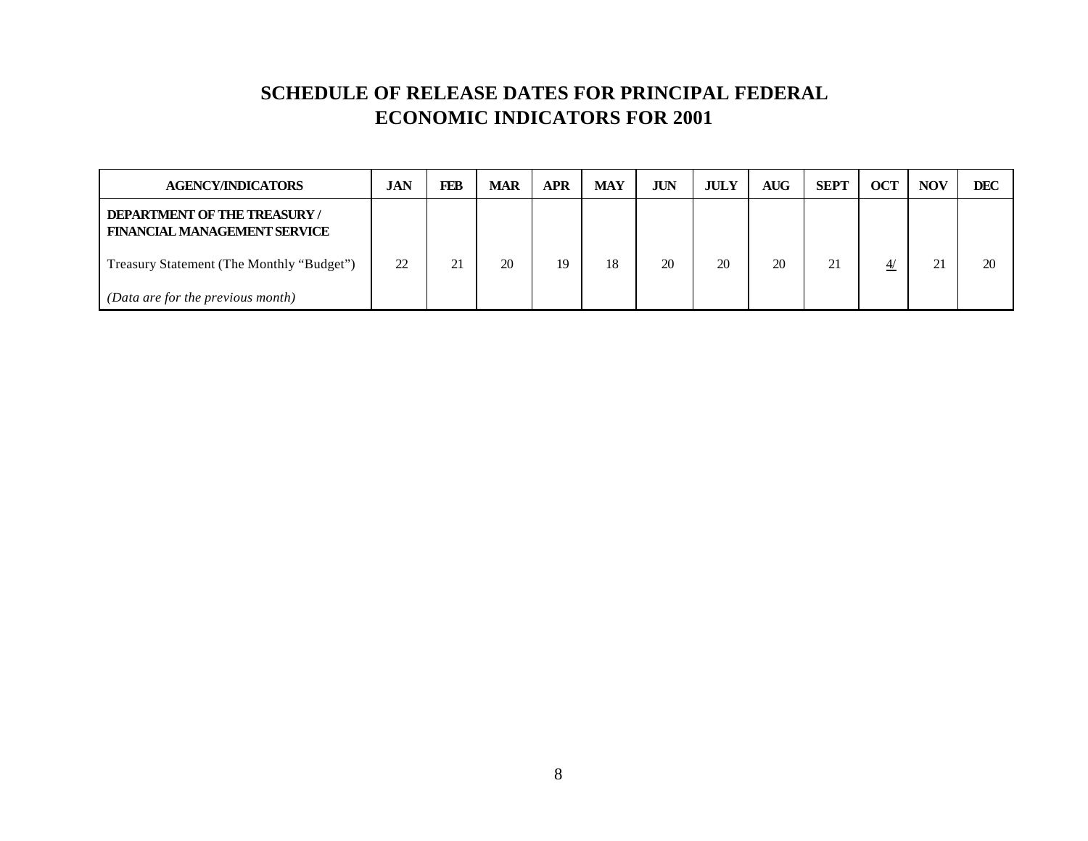| <b>AGENCY/INDICATORS</b>                                                  | <b>JAN</b> | FEB          | <b>MAR</b> | <b>APR</b> | <b>MAY</b> | <b>JUN</b> | <b>JULY</b> | <b>AUG</b> | <b>SEPT</b> | <b>OCT</b>     | <b>NOV</b> | <b>DEC</b> |
|---------------------------------------------------------------------------|------------|--------------|------------|------------|------------|------------|-------------|------------|-------------|----------------|------------|------------|
| <b>DEPARTMENT OF THE TREASURY/</b><br><b>FINANCIAL MANAGEMENT SERVICE</b> |            |              |            |            |            |            |             |            |             |                |            |            |
| Treasury Statement (The Monthly "Budget")                                 | 22         | $^{\circ}$ 1 | 20         | 19         | 18         | 20         | 20          | 20         | 21          | $\overline{4}$ | ◠<br>4.    | 20         |
| (Data are for the previous month)                                         |            |              |            |            |            |            |             |            |             |                |            |            |